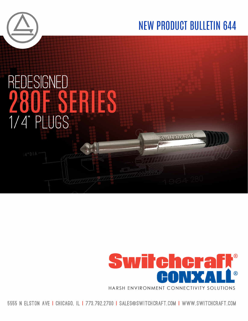





Switcharaf

5555 N ELSTON AVE I CHICAGO. IL I 773.792.2700 I SALES@SWITCHCRAFT.COM I WWW.SWITCHCRAFT.COM